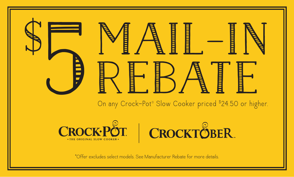

On any Crock-Pot® Slow Cooker priced \$24.50 or higher.





\*Offer excludes select models. See Manufacturer Rebate for more details.